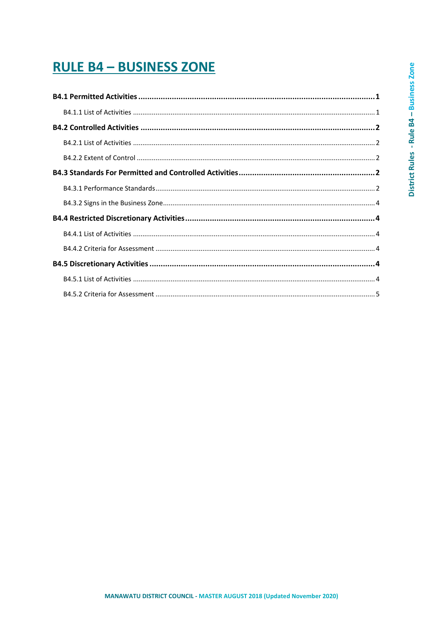# District Rules - Rule B4 - Business Zone

# **RULE B4 - BUSINESS ZONE**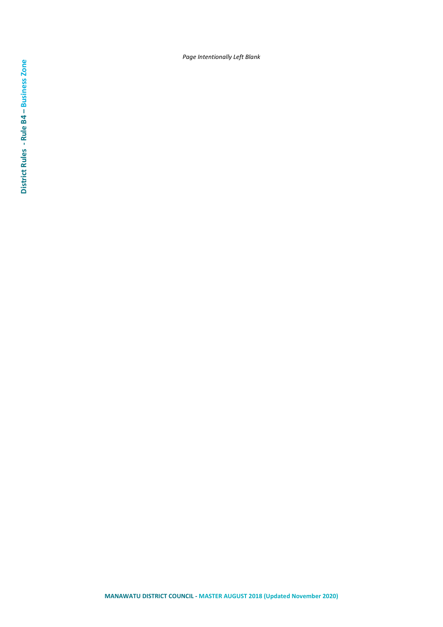*Page Intentionally Left Blank*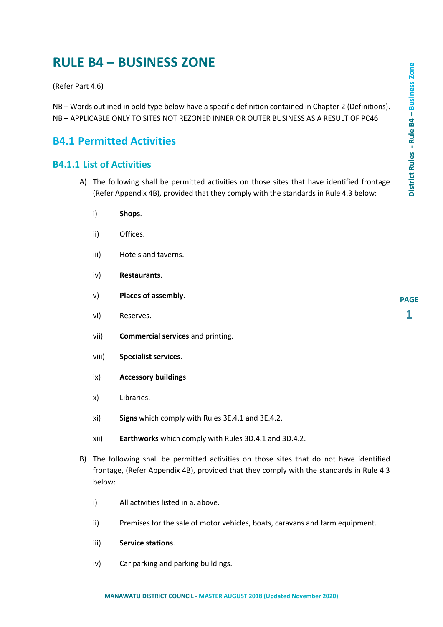# **RULE B4 – BUSINESS ZONE**

(Refer Part 4.6)

NB – Words outlined in bold type below have a specific definition contained in Chapter 2 (Definitions). NB – APPLICABLE ONLY TO SITES NOT REZONED INNER OR OUTER BUSINESS AS A RESULT OF PC46

## <span id="page-4-0"></span>**B4.1 Permitted Activities**

### <span id="page-4-1"></span>**B4.1.1 List of Activities**

- A) The following shall be permitted activities on those sites that have identified frontage (Refer Appendix 4B), provided that they comply with the standards in Rule 4.3 below:
	- i) **Shops**.
	- ii) Offices.
	- iii) Hotels and taverns.
	- iv) **Restaurants**.
	- v) **Places of assembly**.
	- vi) Reserves.
	- vii) **Commercial services** and printing.
	- viii) **Specialist services**.
	- ix) **Accessory buildings**.
	- x) Libraries.
	- xi) **Signs** which comply with Rules 3E.4.1 and 3E.4.2.
	- xii) **Earthworks** which comply with Rules 3D.4.1 and 3D.4.2.
- B) The following shall be permitted activities on those sites that do not have identified frontage, (Refer Appendix 4B), provided that they comply with the standards in Rule 4.3 below:
	- i) All activities listed in a. above.
	- ii) Premises for the sale of motor vehicles, boats, caravans and farm equipment.
	- iii) **Service stations**.
	- iv) Car parking and parking buildings.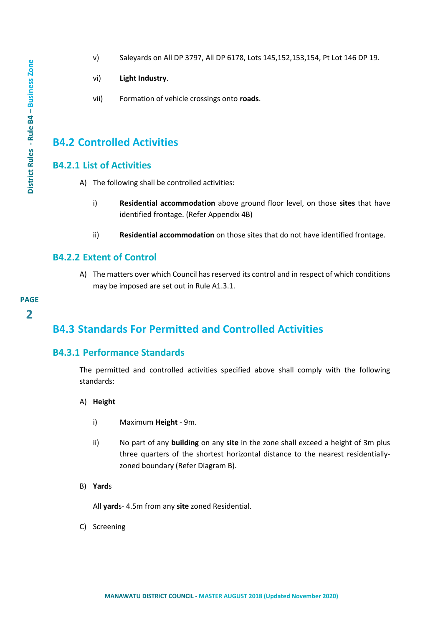- v) Saleyards on All DP 3797, All DP 6178, Lots 145,152,153,154, Pt Lot 146 DP 19.
- vi) **Light Industry**.
- vii) Formation of vehicle crossings onto **roads**.

### <span id="page-5-0"></span>**B4.2 Controlled Activities**

### <span id="page-5-1"></span>**B4.2.1 List of Activities**

- A) The following shall be controlled activities:
	- i) **Residential accommodation** above ground floor level, on those **sites** that have identified frontage. (Refer Appendix 4B)
	- ii) **Residential accommodation** on those sites that do not have identified frontage.

### <span id="page-5-2"></span>**B4.2.2 Extent of Control**

A) The matters over which Council has reserved its control and in respect of which conditions may be imposed are set out in Rule A1.3.1.

# **PAGE 2**

### <span id="page-5-3"></span>**B4.3 Standards For Permitted and Controlled Activities**

### <span id="page-5-4"></span>**B4.3.1 Performance Standards**

The permitted and controlled activities specified above shall comply with the following standards:

### A) **Height**

- i) Maximum **Height** 9m.
- ii) No part of any **building** on any **site** in the zone shall exceed a height of 3m plus three quarters of the shortest horizontal distance to the nearest residentiallyzoned boundary (Refer Diagram B).
- B) **Yard**s

All **yard**s- 4.5m from any **site** zoned Residential.

C) Screening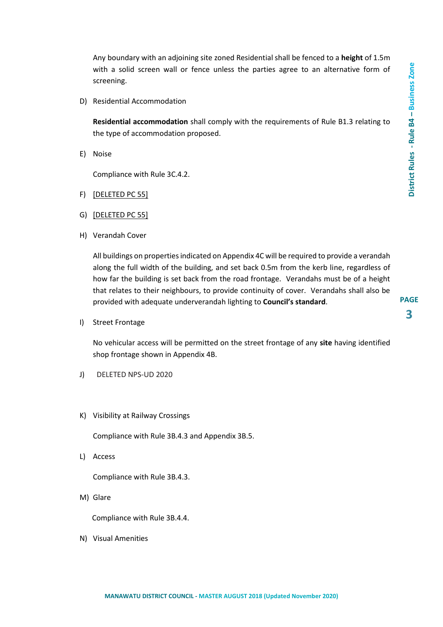**PAGE 3**

Any boundary with an adjoining site zoned Residential shall be fenced to a **height** of 1.5m with a solid screen wall or fence unless the parties agree to an alternative form of screening.

D) Residential Accommodation

**Residential accommodation** shall comply with the requirements of Rule B1.3 relating to the type of accommodation proposed.

E) Noise

Compliance with Rule 3C.4.2.

- F) [DELETED PC 55]
- G) [DELETED PC 55]
- H) Verandah Cover

All buildings on properties indicated on Appendix 4C will be required to provide a verandah along the full width of the building, and set back 0.5m from the kerb line, regardless of how far the building is set back from the road frontage. Verandahs must be of a height that relates to their neighbours, to provide continuity of cover. Verandahs shall also be provided with adequate underverandah lighting to **Council's standard**.

I) Street Frontage

No vehicular access will be permitted on the street frontage of any **site** having identified shop frontage shown in Appendix 4B.

- J) DELETED NPS-UD 2020
- K) Visibility at Railway Crossings

Compliance with Rule 3B.4.3 and Appendix 3B.5.

L) Access

Compliance with Rule 3B.4.3.

M) Glare

Compliance with Rule 3B.4.4.

N) Visual Amenities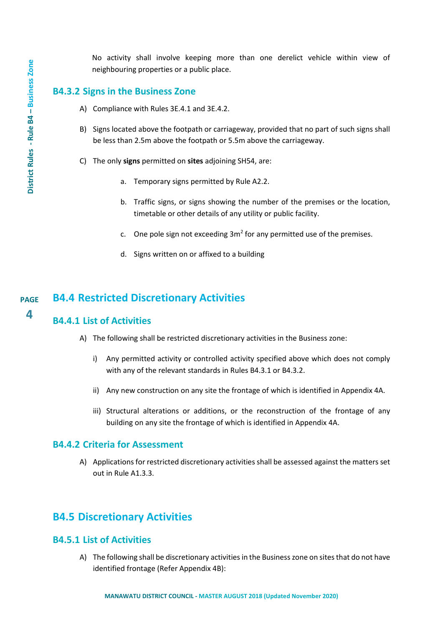### <span id="page-7-0"></span>**B4.3.2 Signs in the Business Zone**

- A) Compliance with Rules 3E.4.1 and 3E.4.2.
- B) Signs located above the footpath or carriageway, provided that no part of such signs shall be less than 2.5m above the footpath or 5.5m above the carriageway.
- C) The only **signs** permitted on **sites** adjoining SH54, are:
	- a. Temporary signs permitted by Rule A2.2.
	- b. Traffic signs, or signs showing the number of the premises or the location, timetable or other details of any utility or public facility.
	- c. One pole sign not exceeding  $3m^2$  for any permitted use of the premises.
	- d. Signs written on or affixed to a building

### **PAGE B4.4 Restricted Discretionary Activities**

### <span id="page-7-2"></span><span id="page-7-1"></span>**B4.4.1 List of Activities**

- A) The following shall be restricted discretionary activities in the Business zone:
	- i) Any permitted activity or controlled activity specified above which does not comply with any of the relevant standards in Rules B4.3.1 or B4.3.2.
	- ii) Any new construction on any site the frontage of which is identified in Appendix 4A.
	- iii) Structural alterations or additions, or the reconstruction of the frontage of any building on any site the frontage of which is identified in Appendix 4A.

### <span id="page-7-3"></span>**B4.4.2 Criteria for Assessment**

A) Applications for restricted discretionary activities shall be assessed against the matters set out in Rule A1.3.3.

# <span id="page-7-4"></span>**B4.5 Discretionary Activities**

### <span id="page-7-5"></span>**B4.5.1 List of Activities**

A) The following shall be discretionary activities in the Business zone on sites that do not have identified frontage (Refer Appendix 4B):

**4**